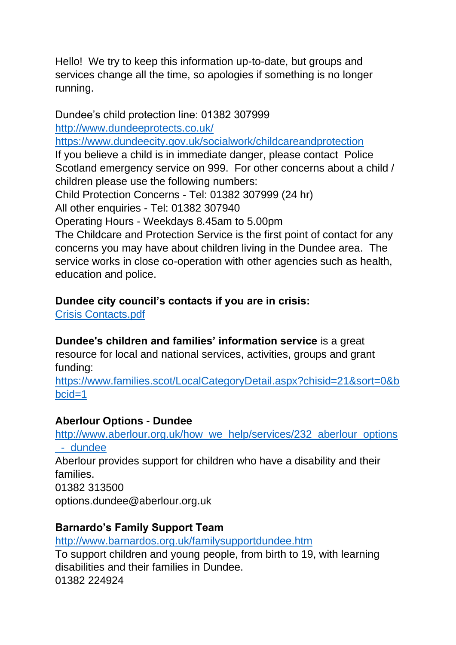Hello! We try to keep this information up-to-date, but groups and services change all the time, so apologies if something is no longer running.

Dundee's child protection line: 01382 307999 <http://www.dundeeprotects.co.uk/> <https://www.dundeecity.gov.uk/socialwork/childcareandprotection> If you believe a child is in immediate danger, please contact Police Scotland emergency service on 999. For other concerns about a child / children please use the following numbers: Child Protection Concerns - Tel: 01382 307999 (24 hr) All other enquiries - Tel: 01382 307940 Operating Hours - Weekdays 8.45am to 5.00pm The Childcare and Protection Service is the first point of contact for any concerns you may have about children living in the Dundee area. The service works in close co-operation with other agencies such as health,

education and police.

#### **Dundee city council's contacts if you are in crisis:**

[Crisis Contacts.pdf](http://btckstorage.blob.core.windows.net/site1810/Crisis%20Contacts.pdf)

**Dundee's children and families' information service** is a great resource for local and national services, activities, groups and grant funding[:](https://www.families.scot/LocalCategoryDetail.aspx?chisid=21&sort=0&bbcid=1)

[https://www.families.scot/LocalCategoryDetail.aspx?chisid=21&sort=0&b](https://www.families.scot/LocalCategoryDetail.aspx?chisid=21&sort=0&bbcid=1) [bcid=1](https://www.families.scot/LocalCategoryDetail.aspx?chisid=21&sort=0&bbcid=1)

#### **Aberlour Options - Dundee**

[http://www.aberlour.org.uk/how\\_we\\_help/services/232\\_aberlour\\_options](http://www.aberlour.org.uk/how_we_help/services/232_aberlour_options_-_dundee)

[\\_-\\_dundee](http://www.aberlour.org.uk/how_we_help/services/232_aberlour_options_-_dundee)

Aberlour provides support for children who have a disability and their families.

01382 313500 options.dundee@aberlour.org.uk

#### **Barnardo's Family Support Team**

<http://www.barnardos.org.uk/familysupportdundee.htm>

To support children and young people, from birth to 19, with learning disabilities and their families in Dundee. 01382 224924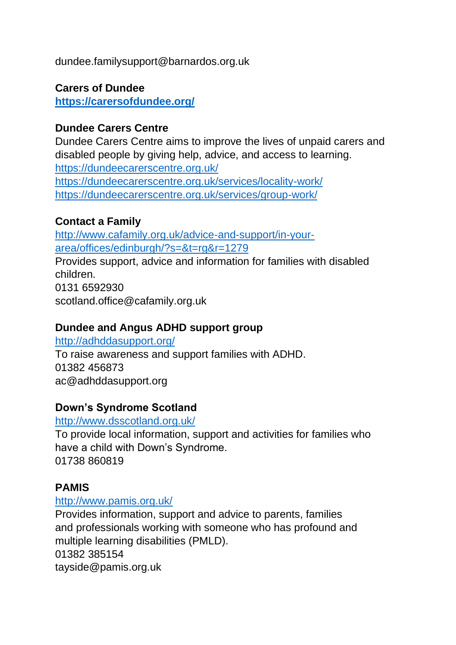dundee.familysupport@barnardos.org.uk

### **Carers of Dundee**

**<https://carersofdundee.org/>**

### **Dundee Carers Centre**

Dundee Carers Centre aims to improve the lives of unpaid carers and disabled people by giving help, advice, and access to learning. <https://dundeecarerscentre.org.uk/> <https://dundeecarerscentre.org.uk/services/locality-work/> <https://dundeecarerscentre.org.uk/services/group-work/>

#### **Contact a Family**

[http://www.cafamily.org.uk/advice-and-support/in-your](http://www.cafamily.org.uk/advice-and-support/in-your-area/offices/edinburgh/?s=&t=rg&r=1279)[area/offices/edinburgh/?s=&t=rg&r=1279](http://www.cafamily.org.uk/advice-and-support/in-your-area/offices/edinburgh/?s=&t=rg&r=1279)

Provides support, advice and information for families with disabled children. 0131 6592930 scotland.office@cafamily.org.uk

### **Dundee and Angus ADHD support group**

<http://adhddasupport.org/> To raise awareness and support families with ADHD. 01382 456873 ac@adhddasupport.org

### **Down's Syndrome Scotland**

#### <http://www.dsscotland.org.uk/>

To provide local information, support and activities for families who have a child with Down's Syndrome. 01738 860819

#### **PAMIS**

#### <http://www.pamis.org.uk/>

Provides information, support and advice to parents, families and professionals working with someone who has profound and multiple learning disabilities (PMLD). 01382 385154 tayside@pamis.org.uk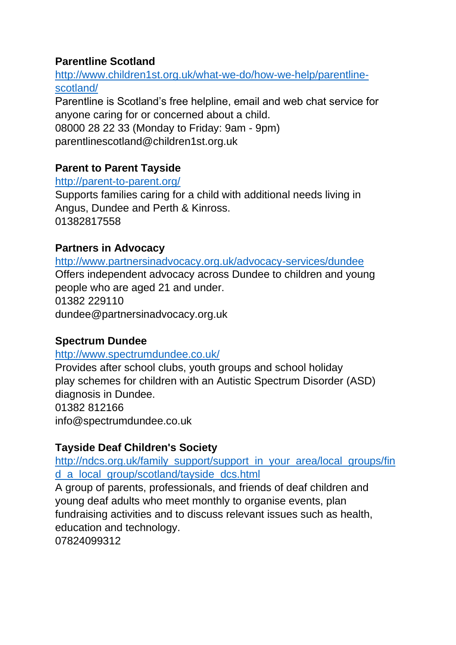# **Parentline Scotland**

[http://www.children1st.org.uk/what-we-do/how-we-help/parentline](http://www.children1st.org.uk/what-we-do/how-we-help/parentline-scotland/)[scotland/](http://www.children1st.org.uk/what-we-do/how-we-help/parentline-scotland/)

Parentline is Scotland's free helpline, email and web chat service for anyone caring for or concerned about a child. 08000 28 22 33 (Monday to Friday: 9am - 9pm) parentlinescotland@children1st.org.uk

# **Parent to Parent Tayside**

#### <http://parent-to-parent.org/>

Supports families caring for a child with additional needs living in Angus, Dundee and Perth & Kinross. 01382817558

### **Partners in Advocacy**

<http://www.partnersinadvocacy.org.uk/advocacy-services/dundee> Offers independent advocacy across Dundee to children and young people who are aged 21 and under. 01382 229110 dundee@partnersinadvocacy.org.uk

# **Spectrum Dundee**

#### <http://www.spectrumdundee.co.uk/>

Provides after school clubs, youth groups and school holiday play schemes for children with an Autistic Spectrum Disorder (ASD) diagnosis in Dundee. 01382 812166

info@spectrumdundee.co.uk

# **Tayside Deaf Children's Society**

[http://ndcs.org.uk/family\\_support/support\\_in\\_your\\_area/local\\_groups/fin](http://ndcs.org.uk/family_support/support_in_your_area/local_groups/find_a_local_group/scotland/tayside_dcs.html) [d\\_a\\_local\\_group/scotland/tayside\\_dcs.html](http://ndcs.org.uk/family_support/support_in_your_area/local_groups/find_a_local_group/scotland/tayside_dcs.html)

A group of parents, professionals, and friends of deaf children and young deaf adults who meet monthly to organise events, plan fundraising activities and to discuss relevant issues such as health, education and technology.

07824099312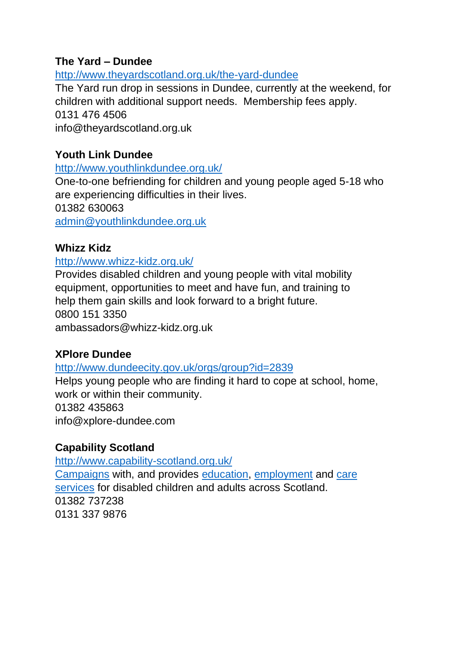### **The Yard – Dundee**

http://www.theyardscotland.org.uk/the-yard-dundee

The Yard run drop in sessions in Dundee, currently at the weekend, for children with additional support needs. Membership fees apply. 0131 476 4506 info@theyardscotland.org.uk

### **Youth Link Dundee**

<http://www.youthlinkdundee.org.uk/>

One-to-one befriending for children and young people aged 5-18 who are experiencing difficulties in their lives. 01382 630063

[admin@youthlinkdundee.org.uk](http://uk.f253.mail.yahoo.com/ym/Compose?To=admin@youthlinkdundee.org.uk)

#### **Whizz Kidz**

#### <http://www.whizz-kidz.org.uk/>

Provides disabled children and young people with vital mobility equipment, opportunities to meet and have fun, and training to help them gain skills and look forward to a bright future. 0800 151 3350 ambassadors@whizz-kidz.org.uk

#### **XPlore Dundee**

#### <http://www.dundeecity.gov.uk/orgs/group?id=2839>

Helps young people who are finding it hard to cope at school, home, work or within their community. 01382 435863 info@xplore-dundee.com

### **Capability Scotland**

<http://www.capability-scotland.org.uk/> [Campaigns](http://www.capability-scotland.org.uk/what-can-i-do-for-capability/policy-campaigns/) with, and provides [education,](http://www.capability-scotland.org.uk/schools/) [employment](http://www.capability-scotland.org.uk/services/capability-works-employment-services/) and [care](http://www.capability-scotland.org.uk/services/) [services](http://www.capability-scotland.org.uk/services/) for disabled children and adults across Scotland. 01382 737238 0131 337 9876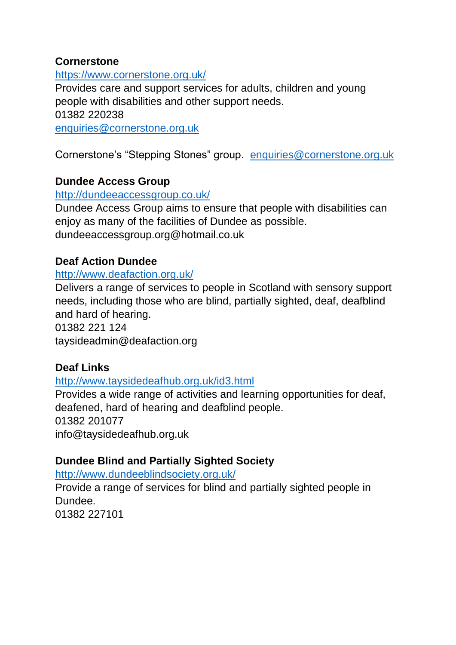#### **Cornerstone**

<https://www.cornerstone.org.uk/> Provides care and support services for adults, children and young people with disabilities and other support needs. 01382 220238 [enquiries@cornerstone.org.uk](mailto:enquiries@cornerstone.org.uk)

Cornerstone's "Stepping Stones" group. [enquiries@cornerstone.org.uk](mailto:enquiries@cornerstone.org.uk)

### **Dundee Access Group**

#### <http://dundeeaccessgroup.co.uk/>

Dundee Access Group aims to ensure that people with disabilities can enjoy as many of the facilities of Dundee as possible. dundeeaccessgroup.org@hotmail.co.uk

#### **Deaf Action Dundee**

#### <http://www.deafaction.org.uk/>

Delivers a range of services to people in Scotland with sensory support needs, including those who are blind, partially sighted, deaf, deafblind and hard of hearing.

01382 221 124

taysideadmin@deafaction.org

#### **Deaf Links**

#### <http://www.taysidedeafhub.org.uk/id3.html>

Provides a wide range of activities and learning opportunities for deaf, deafened, hard of hearing and deafblind people. 01382 201077 info@taysidedeafhub.org.uk

#### **Dundee Blind and Partially Sighted Society**

<http://www.dundeeblindsociety.org.uk/>

Provide a range of services for blind and partially sighted people in **Dundee** 01382 227101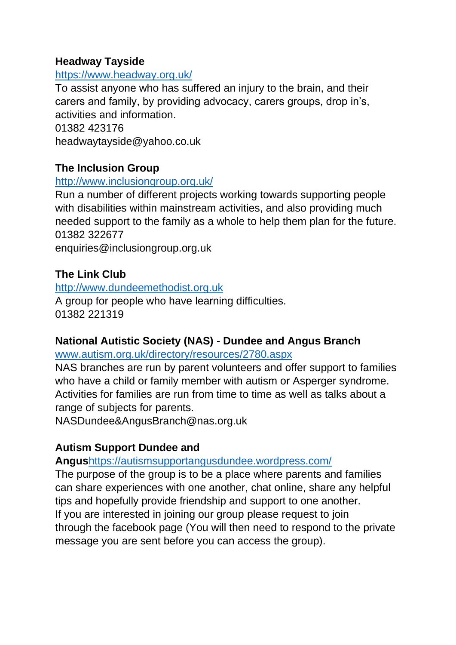#### **Headway Tayside**

#### <https://www.headway.org.uk/>

To assist anyone who has suffered an injury to the brain, and their carers and family, by providing advocacy, carers groups, drop in's, activities and information.

01382 423176 headwaytayside@yahoo.co.uk

#### **The Inclusion Group**

#### <http://www.inclusiongroup.org.uk/>

Run a number of different projects working towards supporting people with disabilities within mainstream activities, and also providing much needed support to the family as a whole to help them plan for the future. 01382 322677

enquiries@inclusiongroup.org.uk

#### **The Link Club**

[http://www.dundeemethodist.org.uk](http://www.dundeemethodist.org.uk/) A group for people who have learning difficulties. 01382 221319

### **National Autistic Society (NAS) - Dundee and Angus Branch**

[www.autism.org.uk/directory/resources/2780.aspx](http://www.autism.org.uk/directory/resources/2780.aspx)

NAS branches are run by parent volunteers and offer support to families who have a child or family member with autism or Asperger syndrome. Activities for families are run from time to time as well as talks about a range of subjects for parents.

NASDundee&AngusBranch@nas.org.uk

### **Autism Support Dundee and**

**Angus**https://autismsupportangusdundee.wordpress.com/

The purpose of the group is to be a place where parents and families can share experiences with one another, chat online, share any helpful tips and hopefully provide friendship and support to one another. If you are interested in joining our group please request to join through the facebook page (You will then need to respond to the private message you are sent before you can access the group).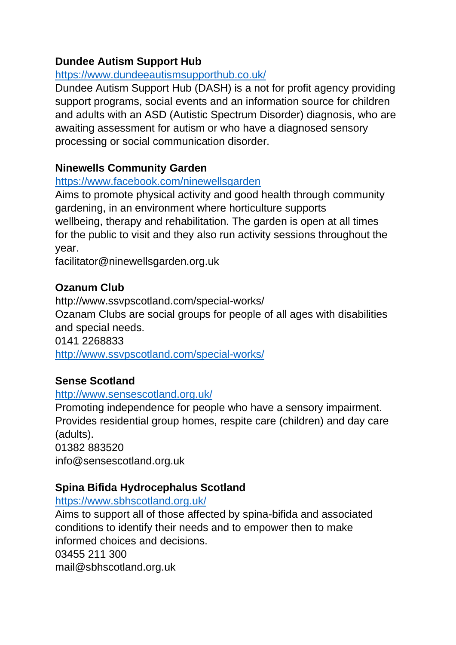# **Dundee Autism Support Hub**

### https://www.dundeeautismsupporthub.co.uk/

Dundee Autism Support Hub (DASH) is a not for profit agency providing support programs, social events and an information source for children and adults with an ASD (Autistic Spectrum Disorder) diagnosis, who are awaiting assessment for autism or who have a diagnosed sensory processing or social communication disorder.

# **Ninewells Community Garden**

#### <https://www.facebook.com/ninewellsgarden>

Aims to promote physical activity and good health through community gardening, in an environment where horticulture supports wellbeing, therapy and rehabilitation. The garden is open at all times for the public to visit and they also run activity sessions throughout the year.

facilitator@ninewellsgarden.org.uk

# **Ozanum Club**

http://www.ssvpscotland.com/special-works/ Ozanam Clubs are social groups for people of all ages with disabilities and special needs. 0141 2268833

<http://www.ssvpscotland.com/special-works/>

### **Sense Scotland**

#### <http://www.sensescotland.org.uk/>

Promoting independence for people who have a sensory impairment. Provides residential group homes, respite care (children) and day care (adults).

01382 883520 info@sensescotland.org.uk

# **Spina Bifida Hydrocephalus Scotland**

#### <https://www.sbhscotland.org.uk/>

Aims to support all of those affected by spina-bifida and associated conditions to identify their needs and to empower then to make informed choices and decisions.

03455 211 300

mail@sbhscotland.org.uk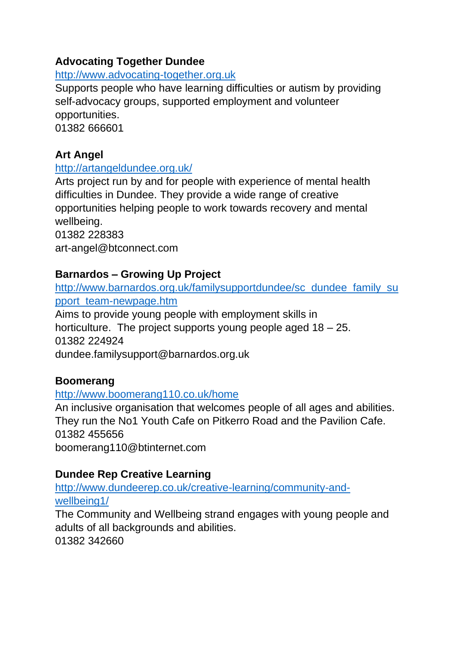# **Advocating Together Dundee**

#### [http://www.advocating-together.org.uk](http://www.advocating-together.org.uk/)

Supports people who have learning difficulties or autism by providing self-advocacy groups, supported employment and volunteer opportunities. 01382 666601

# **Art Angel**

#### <http://artangeldundee.org.uk/>

Arts project run by and for people with experience of mental health difficulties in Dundee. They provide a wide range of creative opportunities helping people to work towards recovery and mental wellbeing.

01382 228383 art-angel@btconnect.com

### **Barnardos – Growing Up Project**

[http://www.barnardos.org.uk/familysupportdundee/sc\\_dundee\\_family\\_su](http://www.barnardos.org.uk/familysupportdundee/sc_dundee_family_support_team-newpage.htm) [pport\\_team-newpage.htm](http://www.barnardos.org.uk/familysupportdundee/sc_dundee_family_support_team-newpage.htm)

Aims to provide young people with employment skills in horticulture. The project supports young people aged 18 – 25. 01382 224924 dundee.familysupport@barnardos.org.uk

### **Boomerang**

#### <http://www.boomerang110.co.uk/home>

An inclusive organisation that welcomes people of all ages and abilities. They run the No1 Youth Cafe on Pitkerro Road and the Pavilion Cafe. 01382 455656 boomerang110@btinternet.com

### **Dundee Rep Creative Learning**

[http://www.dundeerep.co.uk/creative-learning/community-and](http://www.dundeerep.co.uk/creative-learning/community-and-wellbeing1/)[wellbeing1/](http://www.dundeerep.co.uk/creative-learning/community-and-wellbeing1/)

The Community and Wellbeing strand engages with young people and adults of all backgrounds and abilities. 01382 342660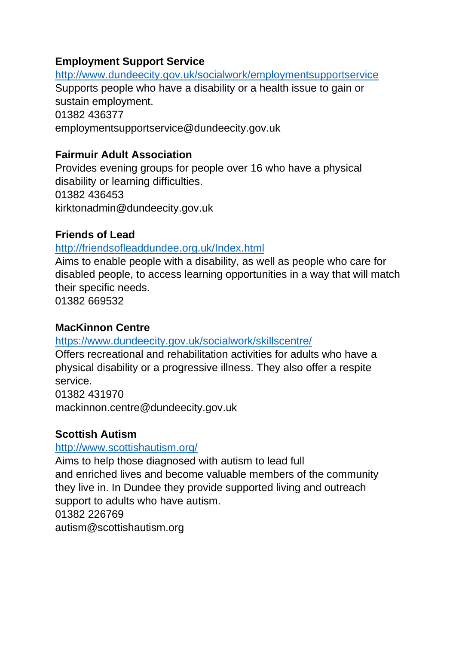### **Employment Support Service**

<http://www.dundeecity.gov.uk/socialwork/employmentsupportservice> Supports people who have a disability or a health issue to gain or sustain employment. 01382 436377 employmentsupportservice@dundeecity.gov.uk

# **Fairmuir Adult Association**

Provides evening groups for people over 16 who have a physical disability or learning difficulties. 01382 436453 kirktonadmin@dundeecity.gov.uk

# **Friends of Lead**

### <http://friendsofleaddundee.org.uk/Index.html>

Aims to enable people with a disability, as well as people who care for disabled people, to access learning opportunities in a way that will match their specific needs.

01382 669532

### **MacKinnon Centre**

<https://www.dundeecity.gov.uk/socialwork/skillscentre/>

Offers recreational and rehabilitation activities for adults who have a physical disability or a progressive illness. They also offer a respite service.

01382 431970

mackinnon.centre@dundeecity.gov.uk

### **Scottish Autism**

### <http://www.scottishautism.org/>

Aims to help those diagnosed with autism to lead full and enriched lives and become valuable members of the community they live in. In Dundee they provide supported living and outreach support to adults who have autism. 01382 226769 autism@scottishautism.org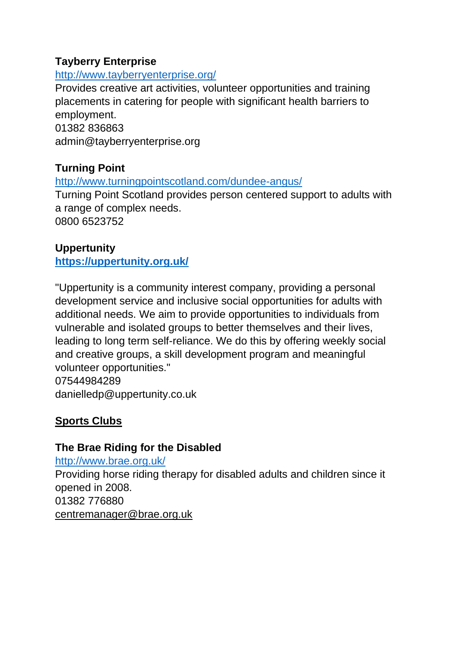### **Tayberry Enterprise**

#### <http://www.tayberryenterprise.org/>

Provides creative art activities, volunteer opportunities and training placements in catering for people with significant health barriers to employment. 01382 836863

admin@tayberryenterprise.org

# **Turning Point**

<http://www.turningpointscotland.com/dundee-angus/>

Turning Point Scotland provides person centered support to adults with a range of complex needs. 0800 6523752

# **Uppertunity**

**[https://uppertunity.org.uk/](http://uppertunity.org.uk/)**

"Uppertunity is a community interest company, providing a personal development service and inclusive social opportunities for adults with additional needs. We aim to provide opportunities to individuals from vulnerable and isolated groups to better themselves and their lives, leading to long term self-reliance. We do this by offering weekly social and creative groups, a skill development program and meaningful volunteer opportunities." 07544984289

danielledp@uppertunity.co.uk

# **Sports Clubs**

# **The Brae Riding for the Disabled**

<http://www.brae.org.uk/> Providing horse riding therapy for disabled adults and children since it opened in 2008. 01382 776880 centremanager@brae.org.uk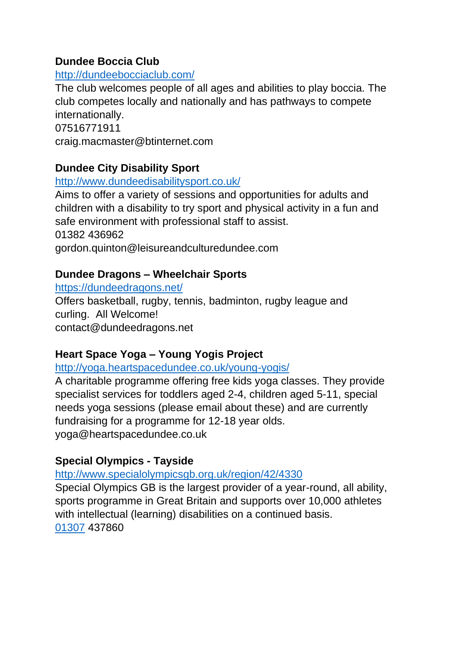### **Dundee Boccia Club**

### <http://dundeebocciaclub.com/>

The club welcomes people of all ages and abilities to play boccia. The club competes locally and nationally and has pathways to compete internationally. 07516771911

craig.macmaster@btinternet.com

# **Dundee City Disability Sport**

#### <http://www.dundeedisabilitysport.co.uk/>

Aims to offer a variety of sessions and opportunities for adults and children with a disability to try sport and physical activity in a fun and safe environment with professional staff to assist. 01382 436962 gordon.quinton@leisureandculturedundee.com

# **Dundee Dragons – Wheelchair Sports**

<https://dundeedragons.net/>

Offers basketball, rugby, tennis, badminton, rugby league and curling. All Welcome! contact@dundeedragons.net

### **Heart Space Yoga – Young Yogis Project**

<http://yoga.heartspacedundee.co.uk/young-yogis/>

A charitable programme offering free kids yoga classes. They provide specialist services for toddlers aged 2-4, children aged 5-11, special needs yoga sessions (please email about these) and are currently fundraising for a programme for 12-18 year olds. yoga@heartspacedundee.co.uk

# **Special Olympics - Tayside**

<http://www.specialolympicsgb.org.uk/region/42/4330>

Special Olympics GB is the largest provider of a year-round, all ability, sports programme in Great Britain and supports over 10,000 athletes with intellectual (learning) disabilities on a continued basis. [01307](tel:01307) 437860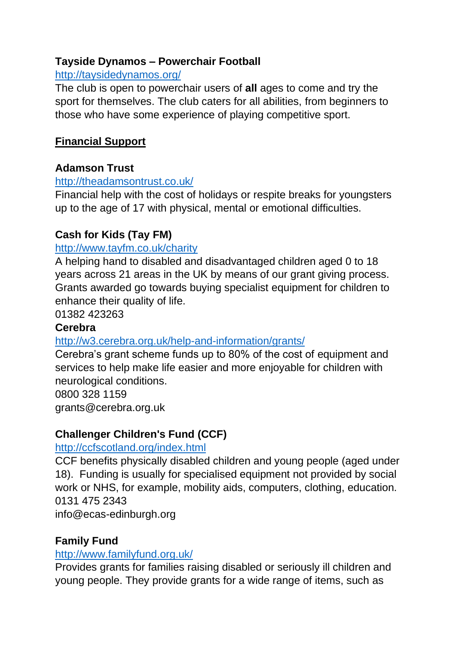# **Tayside Dynamos – Powerchair Football**

#### <http://taysidedynamos.org/>

The club is open to powerchair users of **all** ages to come and try the sport for themselves. The club caters for all abilities, from beginners to those who have some experience of playing competitive sport.

### **Financial Support**

### **Adamson Trust**

#### <http://theadamsontrust.co.uk/>

Financial help with the cost of holidays or respite breaks for youngsters up to the age of 17 with physical, mental or emotional difficulties.

### **Cash for Kids (Tay FM)**

#### <http://www.tayfm.co.uk/charity>

A helping hand to disabled and disadvantaged children aged 0 to 18 years across 21 areas in the UK by means of our grant giving process. Grants awarded go towards buying specialist equipment for children to enhance their quality of life.

01382 423263

#### **Cerebra**

#### <http://w3.cerebra.org.uk/help-and-information/grants/>

Cerebra's grant scheme funds up to 80% of the cost of equipment and services to help make life easier and more enjoyable for children with neurological conditions.

0800 328 1159 grants@cerebra.org.uk

### **Challenger Children's Fund (CCF)**

#### <http://ccfscotland.org/index.html>

CCF benefits physically disabled children and young people (aged under 18). Funding is usually for specialised equipment not provided by social work or NHS, for example, mobility aids, computers, clothing, education. 0131 475 2343

info@ecas-edinburgh.org

### **Family Fund**

#### <http://www.familyfund.org.uk/>

Provides grants for families raising disabled or seriously ill children and young people. They provide grants for a wide range of items, such as